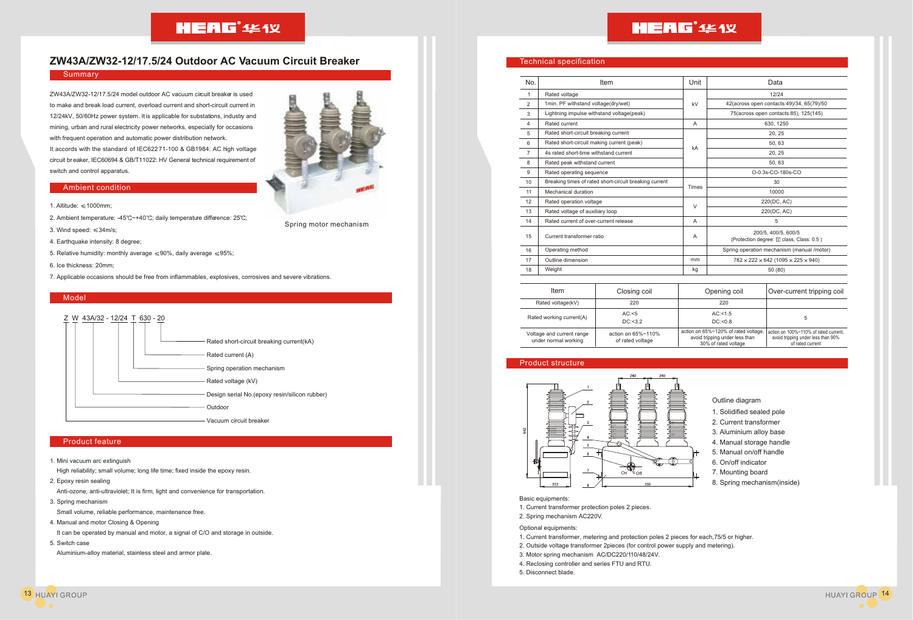## **HEAG**<sup>\*</sup>444X

### **ZW43A/ZW32-12/17.5/24 Outdoor AC Vacuum Circuit Breaker**

### **Summary**

ZW43A/ZW32-12/17.5/24 model outdoor AC vacuum circuit breaker is used to make and break load current, overload current and short-circuit current in 12/24kV, 50/60Hz power system. It is applicable for substations, industry and mining, urban and rural electricity power networks, especially for occasions with frequent operation and automatic power distribution network. It accords with the standard of IEC622 71-100 & GB1984: AC high voltage circuit breaker, IEC60694 & GB/T11022: HV General technical requirement of switch and control apparatus.

### Ambient condition

- 1. Altitude:  $\leq 1000$ mm:
- 2. Ambient temperature: -45 $°C$  +40 $°C$ ; daily temperature difference: 25 $°C$ ;
- 3. Wind speed: 34m/s;
- 4. Earthquake intensity: 8 degree;
- 5. Relative humidity: monthly average  $\leq 90\%$ , daily average  $\leq 95\%$ ;
- 6. Ice thickness: 20mm;
- 7. Applicable occasions should be free from inflammables, explosives, corrosives and severe vibrations.

### Model



### Product feature

1. Mini vacuum arc extinguish

High reliability; small volume; long life time; fixed inside the epoxy resin.

2. Epoxy resin sealing

Anti-ozone, anti-ultraviolet; It is firm, light and convenience for transportation.

3. Spring mechanism

Small volume, reliable performance, maintenance free.

4. Manual and motor Closing & Opening

It can be operated by manual and motor, a signal of C/O and storage in outside.

5. Switch case

Aluminium-alloy material, stainless steel and armor plate.



Spring motor mechanism